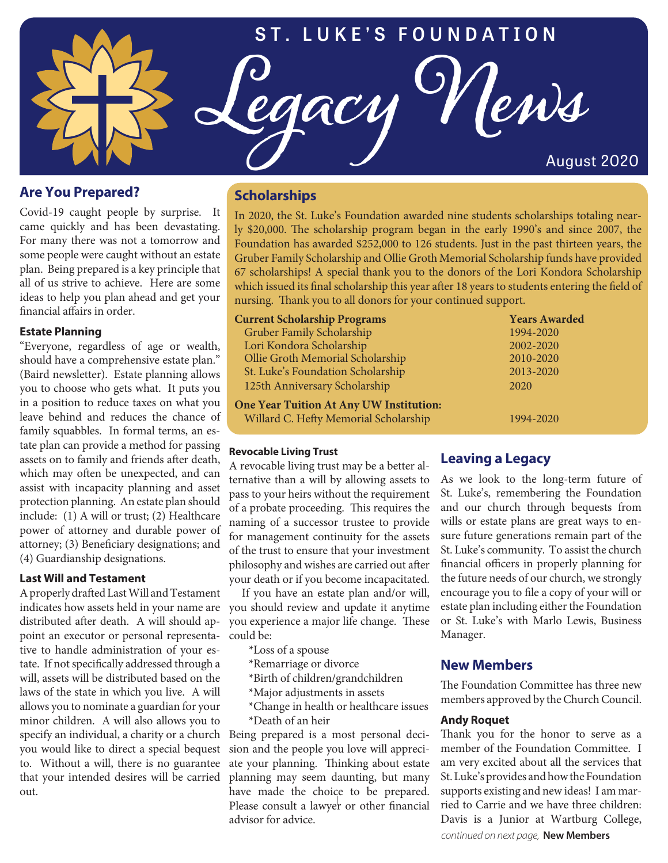

## **Are You Prepared?**

Covid-19 caught people by surprise. It came quickly and has been devastating. For many there was not a tomorrow and some people were caught without an estate plan. Being prepared is a key principle that all of us strive to achieve. Here are some ideas to help you plan ahead and get your financial affairs in order.

### **Estate Planning**

"Everyone, regardless of age or wealth, should have a comprehensive estate plan." (Baird newsletter). Estate planning allows you to choose who gets what. It puts you in a position to reduce taxes on what you leave behind and reduces the chance of family squabbles. In formal terms, an estate plan can provide a method for passing assets on to family and friends after death, which may often be unexpected, and can assist with incapacity planning and asset protection planning. An estate plan should include: (1) A will or trust; (2) Healthcare power of attorney and durable power of attorney; (3) Beneficiary designations; and (4) Guardianship designations.

### **Last Will and Testament**

A properly drafted Last Will and Testament distributed after death. A will should appoint an executor or personal representative to handle administration of your estate. If not specifically addressed through a will, assets will be distributed based on the laws of the state in which you live. A will allows you to nominate a guardian for your minor children. A will also allows you to specify an individual, a charity or a church you would like to direct a special bequest to. Without a will, there is no guarantee that your intended desires will be carried out.

# **Scholarships**

In 2020, the St. Luke's Foundation awarded nine students scholarships totaling nearly \$20,000. The scholarship program began in the early 1990's and since 2007, the Foundation has awarded \$252,000 to 126 students. Just in the past thirteen years, the Gruber Family Scholarship and Ollie Groth Memorial Scholarship funds have provided 67 scholarships! A special thank you to the donors of the Lori Kondora Scholarship which issued its final scholarship this year after 18 years to students entering the field of nursing. Thank you to all donors for your continued support.

| <b>Current Scholarship Programs</b>            | <b>Years Awarded</b> |
|------------------------------------------------|----------------------|
| Gruber Family Scholarship                      | 1994-2020            |
| Lori Kondora Scholarship                       | 2002-2020            |
| Ollie Groth Memorial Scholarship               | 2010-2020            |
| St. Luke's Foundation Scholarship              | 2013-2020            |
| 125th Anniversary Scholarship                  | 2020                 |
| <b>One Year Tuition At Any UW Institution:</b> |                      |
| Willard C. Hefty Memorial Scholarship          | 1994-2020            |

### **Revocable Living Trust**

A revocable living trust may be a better alternative than a will by allowing assets to pass to your heirs without the requirement of a probate proceeding. This requires the naming of a successor trustee to provide for management continuity for the assets of the trust to ensure that your investment philosophy and wishes are carried out after your death or if you become incapacitated.

indicates how assets held in your name are you should review and update it anytime If you have an estate plan and/or will, you experience a major life change. These could be:

- \*Loss of a spouse
- \*Remarriage or divorce

\*Birth of children/grandchildren

- \*Major adjustments in assets
- \*Change in health or healthcare issues \*Death of an heir

Being prepared is a most personal decision and the people you love will appreciate your planning. Thinking about estate planning may seem daunting, but many have made the choice to be prepared. Please consult a lawyer or other financial advisor for advice.

## **Leaving a Legacy**

As we look to the long-term future of St. Luke's, remembering the Foundation and our church through bequests from wills or estate plans are great ways to ensure future generations remain part of the St. Luke's community. To assist the church financial officers in properly planning for the future needs of our church, we strongly encourage you to file a copy of your will or estate plan including either the Foundation or St. Luke's with Marlo Lewis, Business Manager.

## **New Members**

The Foundation Committee has three new members approved by the Church Council.

### **Andy Roquet**

Thank you for the honor to serve as a member of the Foundation Committee. I am very excited about all the services that St. Luke's provides and how the Foundation supports existing and new ideas! I am married to Carrie and we have three children: Davis is a Junior at Wartburg College, *continued on next page,* **New Members**